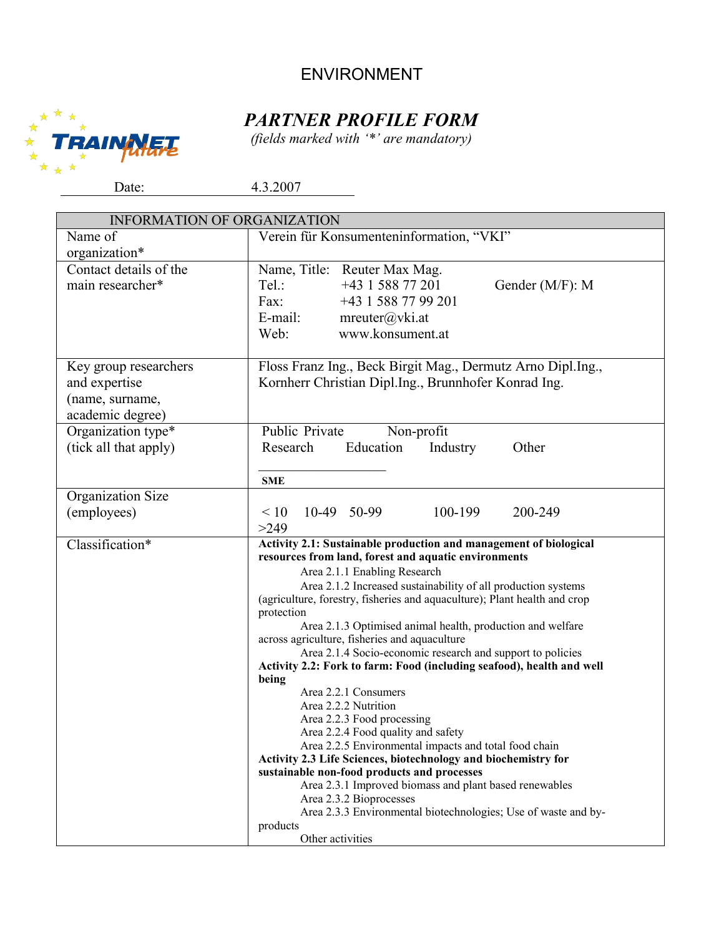## ENVIRONMENT



*(fields marked with '\*' are mandatory)*



| <b>INFORMATION OF ORGANIZATION</b> |                                                                                                             |
|------------------------------------|-------------------------------------------------------------------------------------------------------------|
| Name of                            | Verein für Konsumenteninformation, "VKI"                                                                    |
| organization*                      |                                                                                                             |
| Contact details of the             | Name, Title: Reuter Max Mag.                                                                                |
| main researcher*                   | +43 1 588 77 201<br>Tel.:<br>Gender (M/F): M                                                                |
|                                    | +43 1 588 77 99 201<br>Fax:                                                                                 |
|                                    | E-mail:<br>mreuter@vki.at                                                                                   |
|                                    | www.konsument.at<br>Web:                                                                                    |
|                                    |                                                                                                             |
| Key group researchers              | Floss Franz Ing., Beck Birgit Mag., Dermutz Arno Dipl.Ing.,                                                 |
| and expertise                      | Kornherr Christian Dipl.Ing., Brunnhofer Konrad Ing.                                                        |
| (name, surname,                    |                                                                                                             |
| academic degree)                   |                                                                                                             |
| Organization type*                 | Public Private<br>Non-profit                                                                                |
| (tick all that apply)              | Education<br>Research<br>Industry<br>Other                                                                  |
|                                    |                                                                                                             |
|                                    | <b>SME</b>                                                                                                  |
| Organization Size                  |                                                                                                             |
| (employees)                        | 100-199<br>10-49 50-99<br>200-249<br>$\leq 10$                                                              |
|                                    | >249                                                                                                        |
| Classification*                    | Activity 2.1: Sustainable production and management of biological                                           |
|                                    | resources from land, forest and aquatic environments                                                        |
|                                    | Area 2.1.1 Enabling Research                                                                                |
|                                    | Area 2.1.2 Increased sustainability of all production systems                                               |
|                                    | (agriculture, forestry, fisheries and aquaculture); Plant health and crop                                   |
|                                    | protection                                                                                                  |
|                                    | Area 2.1.3 Optimised animal health, production and welfare                                                  |
|                                    | across agriculture, fisheries and aquaculture<br>Area 2.1.4 Socio-economic research and support to policies |
|                                    | Activity 2.2: Fork to farm: Food (including seafood), health and well                                       |
|                                    | being                                                                                                       |
|                                    | Area 2.2.1 Consumers                                                                                        |
|                                    | Area 2.2.2 Nutrition                                                                                        |
|                                    | Area 2.2.3 Food processing                                                                                  |
|                                    | Area 2.2.4 Food quality and safety<br>Area 2.2.5 Environmental impacts and total food chain                 |
|                                    | Activity 2.3 Life Sciences, biotechnology and biochemistry for                                              |
|                                    | sustainable non-food products and processes                                                                 |
|                                    | Area 2.3.1 Improved biomass and plant based renewables                                                      |
|                                    | Area 2.3.2 Bioprocesses                                                                                     |
|                                    | Area 2.3.3 Environmental biotechnologies; Use of waste and by-                                              |
|                                    | products<br>Other activities                                                                                |
|                                    |                                                                                                             |